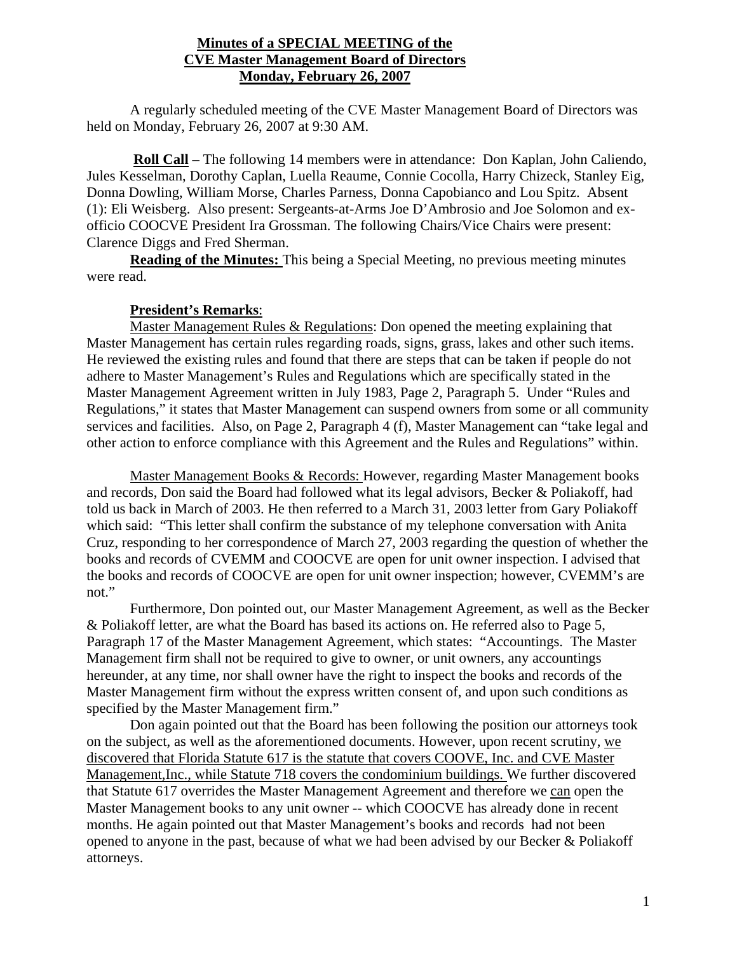## **Minutes of a SPECIAL MEETING of the CVE Master Management Board of Directors Monday, February 26, 2007**

 A regularly scheduled meeting of the CVE Master Management Board of Directors was held on Monday, February 26, 2007 at 9:30 AM.

 **Roll Call** – The following 14 members were in attendance: Don Kaplan, John Caliendo, Jules Kesselman, Dorothy Caplan, Luella Reaume, Connie Cocolla, Harry Chizeck, Stanley Eig, Donna Dowling, William Morse, Charles Parness, Donna Capobianco and Lou Spitz. Absent (1): Eli Weisberg. Also present: Sergeants-at-Arms Joe D'Ambrosio and Joe Solomon and exofficio COOCVE President Ira Grossman. The following Chairs/Vice Chairs were present: Clarence Diggs and Fred Sherman.

**Reading of the Minutes:** This being a Special Meeting, no previous meeting minutes were read.

## **President's Remarks**:

Master Management Rules & Regulations: Don opened the meeting explaining that Master Management has certain rules regarding roads, signs, grass, lakes and other such items. He reviewed the existing rules and found that there are steps that can be taken if people do not adhere to Master Management's Rules and Regulations which are specifically stated in the Master Management Agreement written in July 1983, Page 2, Paragraph 5. Under "Rules and Regulations," it states that Master Management can suspend owners from some or all community services and facilities. Also, on Page 2, Paragraph 4 (f), Master Management can "take legal and other action to enforce compliance with this Agreement and the Rules and Regulations" within.

Master Management Books & Records: However, regarding Master Management books and records, Don said the Board had followed what its legal advisors, Becker & Poliakoff, had told us back in March of 2003. He then referred to a March 31, 2003 letter from Gary Poliakoff which said: "This letter shall confirm the substance of my telephone conversation with Anita Cruz, responding to her correspondence of March 27, 2003 regarding the question of whether the books and records of CVEMM and COOCVE are open for unit owner inspection. I advised that the books and records of COOCVE are open for unit owner inspection; however, CVEMM's are not."

Furthermore, Don pointed out, our Master Management Agreement, as well as the Becker & Poliakoff letter, are what the Board has based its actions on. He referred also to Page 5, Paragraph 17 of the Master Management Agreement, which states: "Accountings. The Master Management firm shall not be required to give to owner, or unit owners, any accountings hereunder, at any time, nor shall owner have the right to inspect the books and records of the Master Management firm without the express written consent of, and upon such conditions as specified by the Master Management firm."

Don again pointed out that the Board has been following the position our attorneys took on the subject, as well as the aforementioned documents. However, upon recent scrutiny, we discovered that Florida Statute 617 is the statute that covers COOVE, Inc. and CVE Master Management,Inc., while Statute 718 covers the condominium buildings. We further discovered that Statute 617 overrides the Master Management Agreement and therefore we can open the Master Management books to any unit owner -- which COOCVE has already done in recent months. He again pointed out that Master Management's books and records had not been opened to anyone in the past, because of what we had been advised by our Becker & Poliakoff attorneys.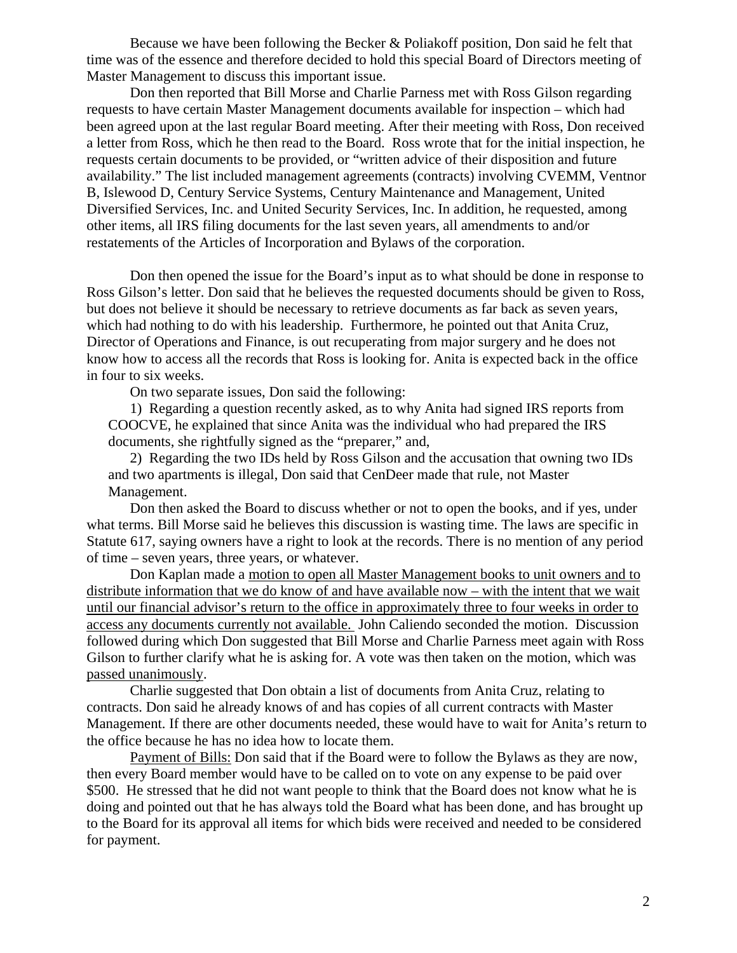Because we have been following the Becker & Poliakoff position, Don said he felt that time was of the essence and therefore decided to hold this special Board of Directors meeting of Master Management to discuss this important issue.

Don then reported that Bill Morse and Charlie Parness met with Ross Gilson regarding requests to have certain Master Management documents available for inspection – which had been agreed upon at the last regular Board meeting. After their meeting with Ross, Don received a letter from Ross, which he then read to the Board. Ross wrote that for the initial inspection, he requests certain documents to be provided, or "written advice of their disposition and future availability." The list included management agreements (contracts) involving CVEMM, Ventnor B, Islewood D, Century Service Systems, Century Maintenance and Management, United Diversified Services, Inc. and United Security Services, Inc. In addition, he requested, among other items, all IRS filing documents for the last seven years, all amendments to and/or restatements of the Articles of Incorporation and Bylaws of the corporation.

Don then opened the issue for the Board's input as to what should be done in response to Ross Gilson's letter. Don said that he believes the requested documents should be given to Ross, but does not believe it should be necessary to retrieve documents as far back as seven years, which had nothing to do with his leadership. Furthermore, he pointed out that Anita Cruz, Director of Operations and Finance, is out recuperating from major surgery and he does not know how to access all the records that Ross is looking for. Anita is expected back in the office in four to six weeks.

On two separate issues, Don said the following:

1) Regarding a question recently asked, as to why Anita had signed IRS reports from COOCVE, he explained that since Anita was the individual who had prepared the IRS documents, she rightfully signed as the "preparer," and,

2) Regarding the two IDs held by Ross Gilson and the accusation that owning two IDs and two apartments is illegal, Don said that CenDeer made that rule, not Master Management.

Don then asked the Board to discuss whether or not to open the books, and if yes, under what terms. Bill Morse said he believes this discussion is wasting time. The laws are specific in Statute 617, saying owners have a right to look at the records. There is no mention of any period of time – seven years, three years, or whatever.

Don Kaplan made a motion to open all Master Management books to unit owners and to distribute information that we do know of and have available now – with the intent that we wait until our financial advisor's return to the office in approximately three to four weeks in order to access any documents currently not available. John Caliendo seconded the motion. Discussion followed during which Don suggested that Bill Morse and Charlie Parness meet again with Ross Gilson to further clarify what he is asking for. A vote was then taken on the motion, which was passed unanimously.

Charlie suggested that Don obtain a list of documents from Anita Cruz, relating to contracts. Don said he already knows of and has copies of all current contracts with Master Management. If there are other documents needed, these would have to wait for Anita's return to the office because he has no idea how to locate them.

Payment of Bills: Don said that if the Board were to follow the Bylaws as they are now, then every Board member would have to be called on to vote on any expense to be paid over \$500. He stressed that he did not want people to think that the Board does not know what he is doing and pointed out that he has always told the Board what has been done, and has brought up to the Board for its approval all items for which bids were received and needed to be considered for payment.